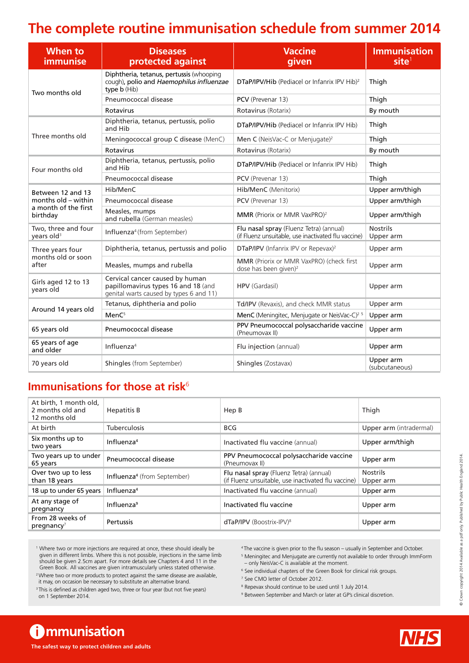## **The complete routine immunisation schedule from summer 2014**

| When to<br><i>immunise</i>                      | <b>Diseases</b><br>protected against                                                                              | <b>Vaccine</b><br>given                                                                        | <b>Immunisation</b><br>site <sup>1</sup> |
|-------------------------------------------------|-------------------------------------------------------------------------------------------------------------------|------------------------------------------------------------------------------------------------|------------------------------------------|
| Two months old                                  | Diphtheria, tetanus, pertussis (whooping<br>cough), polio and Haemophilus influenzae<br>type b (Hib)              | DTaP/IPV/Hib (Pediacel or Infanrix IPV Hib) <sup>2</sup>                                       | Thigh                                    |
|                                                 | Pneumococcal disease                                                                                              | PCV (Prevenar 13)<br>Thigh                                                                     |                                          |
|                                                 | Rotavirus                                                                                                         | Rotavirus (Rotarix)                                                                            | By mouth                                 |
| Three months old                                | Diphtheria, tetanus, pertussis, polio<br>and Hib                                                                  | DTaP/IPV/Hib (Pediacel or Infanrix IPV Hib)                                                    | Thigh                                    |
|                                                 | Meningococcal group C disease (MenC)                                                                              | Men C (NeisVac-C or Menjugate) <sup>2</sup>                                                    | Thigh                                    |
|                                                 | Rotavirus                                                                                                         | Rotavirus (Rotarix)                                                                            | By mouth                                 |
| Four months old                                 | Diphtheria, tetanus, pertussis, polio<br>and Hib                                                                  | <b>DTaP/IPV/Hib</b> (Pediacel or Infanrix IPV Hib)                                             | Thigh                                    |
|                                                 | Pneumococcal disease                                                                                              | PCV (Prevenar 13)                                                                              | Thigh                                    |
| Between 12 and 13                               | Hib/MenC                                                                                                          | Hib/MenC (Menitorix)                                                                           | Upper arm/thigh                          |
| months old - within                             | Pneumococcal disease                                                                                              | PCV (Prevenar 13)                                                                              | Upper arm/thigh                          |
| a month of the first<br>birthday                | Measles, mumps<br>and rubella (German measles)                                                                    | MMR (Priorix or MMR VaxPRO) <sup>2</sup>                                                       | Upper arm/thigh                          |
| Two, three and four<br>years old <sup>3</sup>   | Influenza <sup>4</sup> (from September)                                                                           | Flu nasal spray (Fluenz Tetra) (annual)<br>(if Fluenz unsuitable, use inactivated flu vaccine) | <b>Nostrils</b><br>Upper arm             |
| Three years four<br>months old or soon<br>after | Diphtheria, tetanus, pertussis and polio                                                                          | DTaP/IPV (Infanrix IPV or Repevax) <sup>2</sup>                                                | Upper arm                                |
|                                                 | Measles, mumps and rubella                                                                                        | MMR (Priorix or MMR VaxPRO) (check first<br>dose has been given) <sup>2</sup>                  | Upper arm                                |
| Girls aged 12 to 13<br>vears old                | Cervical cancer caused by human<br>papillomavirus types 16 and 18 (and<br>genital warts caused by types 6 and 11) | HPV (Gardasil)                                                                                 | Upper arm                                |
|                                                 | Tetanus, diphtheria and polio                                                                                     | Td/IPV (Revaxis), and check MMR status                                                         | Upper arm                                |
| Around 14 years old                             | MenC <sup>5</sup>                                                                                                 | MenC (Meningitec, Menjugate or NeisVac-C) <sup>2 5</sup>                                       | Upper arm                                |
| 65 years old                                    | Pneumococcal disease                                                                                              | PPV Pneumococcal polysaccharide vaccine<br>Upper arm<br>(Pneumovax II)                         |                                          |
| 65 years of age<br>and older                    | Influenza <sup>4</sup>                                                                                            | Flu injection (annual)<br>Upper arm                                                            |                                          |
| 70 years old                                    | Shingles (from September)                                                                                         | Upper arm<br>Shingles (Zostavax)<br>(subcutaneous)                                             |                                          |

## **Immunisations for those at risk<sup>6</sup>**

| At birth, 1 month old,<br>2 months old and<br>12 months old | <b>Hepatitis B</b>                      | Hep B                                                                                          | Thigh                        |
|-------------------------------------------------------------|-----------------------------------------|------------------------------------------------------------------------------------------------|------------------------------|
| At birth                                                    | <b>Tuberculosis</b>                     | <b>BCG</b>                                                                                     | Upper arm (intradermal)      |
| Six months up to<br>two years                               | Influenza <sup>4</sup>                  | Inactivated flu vaccine (annual)                                                               | Upper arm/thigh              |
| Two years up to under<br>65 years                           | Pneumococcal disease                    | PPV Pneumococcal polysaccharide vaccine<br>(Pneumovax II)                                      | Upper arm                    |
| Over two up to less<br>than 18 years                        | Influenza <sup>4</sup> (from September) | Flu nasal spray (Fluenz Tetra) (annual)<br>(if Fluenz unsuitable, use inactivated flu vaccine) | <b>Nostrils</b><br>Upper arm |
| 18 up to under 65 years                                     | Influenza <sup>4</sup>                  | Inactivated flu vaccine (annual)                                                               | Upper arm                    |
| At any stage of<br>pregnancy                                | Influenza <sup>9</sup>                  | Inactivated flu vaccine                                                                        | Upper arm                    |
| From 28 weeks of<br>$preq$ nancy <sup>7</sup>               | Pertussis                               | $dTaP/IPV$ (Boostrix-IPV) <sup>8</sup>                                                         | Upper arm                    |

<sup>1</sup> Where two or more injections are required at once, these should ideally be given in different limbs. Where this is not possible, injections in the same limb should be given 2.5cm apart. For more details see Chapters 4 and 11 in the Green Book. All vaccines are given intramuscularly unless stated otherwise.

<sup>2</sup> Where two or more products to protect against the same disease are available, it may, on occasion be necessary to substitute an alternative brand.

<sup>3</sup> This is defined as children aged two, three or four year (but not five years) on 1 September 2014.

- 4 The vaccine is given prior to the flu season usually in September and October.
- <sup>5</sup> Meningitec and Menjugate are currently not available to order through ImmForm – only NeisVac-C is available at the moment.
- <sup>6</sup> See individual chapters of the Green Book for clinical risk groups.

7 See CMO letter of October 2012.

- 8 Repevax should continue to be used until 1 July 2014.
- <sup>9</sup> Between September and March or later at GP's clinical discretion.